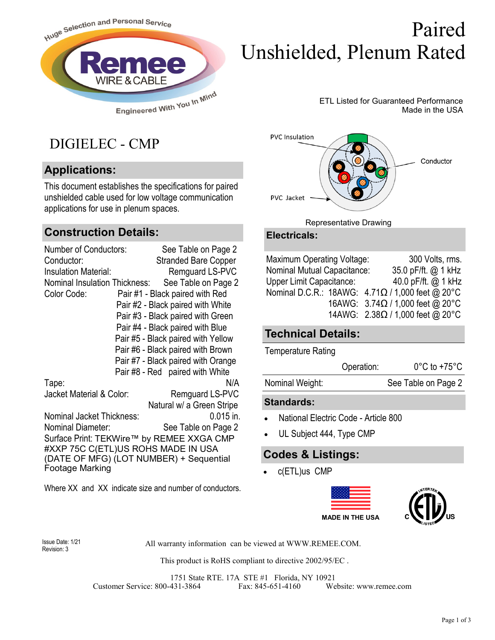

# Paired Unshielded, Plenum Rated

ETL Listed for Guaranteed Performance Made in the USA

# DIGIELEC - CMP

## **Applications:**

This document establishes the specifications for paired unshielded cable used for low voltage communication applications for use in plenum spaces.

### **Construction Details:**

| <b>Number of Conductors:</b>            | See Table on Page 2                       |  |  |  |  |
|-----------------------------------------|-------------------------------------------|--|--|--|--|
| Conductor:                              | <b>Stranded Bare Copper</b>               |  |  |  |  |
| Insulation Material:                    | Remguard LS-PVC                           |  |  |  |  |
| Nominal Insulation Thickness:           | See Table on Page 2                       |  |  |  |  |
| Color Code:                             | Pair #1 - Black paired with Red           |  |  |  |  |
|                                         | Pair #2 - Black paired with White         |  |  |  |  |
|                                         | Pair #3 - Black paired with Green         |  |  |  |  |
|                                         | Pair #4 - Black paired with Blue          |  |  |  |  |
|                                         | Pair #5 - Black paired with Yellow        |  |  |  |  |
|                                         | Pair #6 - Black paired with Brown         |  |  |  |  |
|                                         | Pair #7 - Black paired with Orange        |  |  |  |  |
|                                         | Pair #8 - Red paired with White           |  |  |  |  |
| Tape:                                   | N/A                                       |  |  |  |  |
| Jacket Material & Color:                | Remguard LS-PVC                           |  |  |  |  |
|                                         | Natural w/ a Green Stripe                 |  |  |  |  |
| Nominal Jacket Thickness:               | $0.015$ in.                               |  |  |  |  |
| Nominal Diameter:                       | See Table on Page 2                       |  |  |  |  |
|                                         | Surface Print: TEKWire™ by REMEE XXGA CMP |  |  |  |  |
| #XXP 75C C(ETL)US ROHS MADE IN USA      |                                           |  |  |  |  |
| (DATE OF MFG) (LOT NUMBER) + Sequential |                                           |  |  |  |  |
| Footage Marking                         |                                           |  |  |  |  |
|                                         |                                           |  |  |  |  |

Where XX and XX indicate size and number of conductors.



#### Representative Drawing

#### **Electricals:**

| Maximum Operating Voltage:  | 300 Volts, rms.                                      |
|-----------------------------|------------------------------------------------------|
| Nominal Mutual Capacitance: | 35.0 pF/ft. @ 1 kHz                                  |
| Upper Limit Capacitance:    | 40.0 pF/ft. @ 1 kHz                                  |
|                             | Nominal D.C.R.: 18AWG: $4.71\Omega/1000$ feet @ 20°C |
|                             | 16AWG: $3.74\Omega / 1,000$ feet @ 20°C              |
|                             | 14AWG: $2.38\Omega/1,000$ feet @ 20°C                |

### **Technical Details:**

Temperature Rating

| Operation: | $0^{\circ}$ C to +75 $^{\circ}$ C |
|------------|-----------------------------------|
|            |                                   |

Nominal Weight: See Table on Page 2

#### **Standards:**

- National Electric Code Article 800
- UL Subject 444, Type CMP

### **Codes & Listings:**

• c(ETL)us CMP





Revision: 3

Issue Date: 1/21 All warranty information can be viewed at WWW.REMEE.COM.

This product is RoHS compliant to directive 2002/95/EC .

1751 State RTE. 17A STE #1 Florida, NY 10921 Customer Service: 800-431-3864 Fax: 845-651-4160 Website: www.remee.com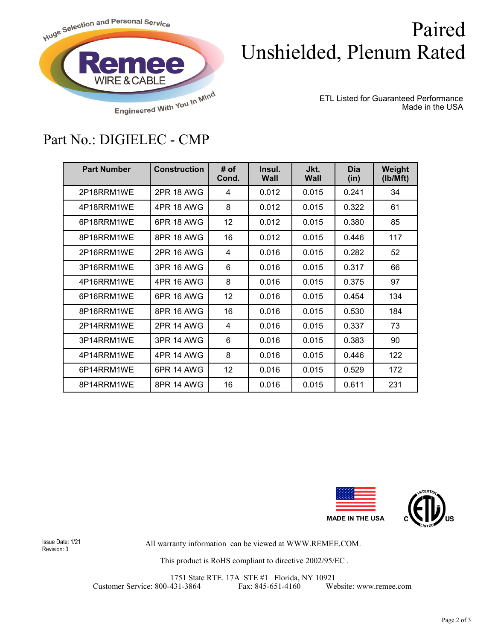

# Paired Unshielded, Plenum Rated

ETL Listed for Guaranteed Performance Made in the USA

## Part No.: DIGIELEC - CMP

| <b>Part Number</b> | <b>Construction</b> | # of<br>Cond. | Insul.<br>Wall | Jkt.<br>Wall | <b>Dia</b><br>(in) | Weight<br>(lb/Mft) |
|--------------------|---------------------|---------------|----------------|--------------|--------------------|--------------------|
| 2P18RRM1WE         | 2PR 18 AWG          | 4             | 0.012          | 0.015        | 0.241              | 34                 |
| 4P18RRM1WE         | 4PR 18 AWG          | 8             | 0.012          | 0.015        | 0.322              | 61                 |
| 6P18RRM1WE         | 6PR 18 AWG          | 12            | 0.012          | 0.015        | 0.380              | 85                 |
| 8P18RRM1WE         | 8PR 18 AWG          | 16            | 0.012          | 0.015        | 0.446              | 117                |
| 2P16RRM1WE         | 2PR 16 AWG          | 4             | 0.016          | 0.015        | 0.282              | 52                 |
| 3P16RRM1WE         | 3PR 16 AWG          | 6             | 0.016          | 0.015        | 0.317              | 66                 |
| 4P16RRM1WE         | 4PR 16 AWG          | 8             | 0.016          | 0.015        | 0.375              | 97                 |
| 6P16RRM1WE         | 6PR 16 AWG          | 12            | 0.016          | 0.015        | 0.454              | 134                |
| 8P16RRM1WE         | 8PR 16 AWG          | 16            | 0.016          | 0.015        | 0.530              | 184                |
| 2P14RRM1WE         | <b>2PR 14 AWG</b>   | 4             | 0.016          | 0.015        | 0.337              | 73                 |
| 3P14RRM1WE         | 3PR 14 AWG          | 6             | 0.016          | 0.015        | 0.383              | 90                 |
| 4P14RRM1WE         | <b>4PR 14 AWG</b>   | 8             | 0.016          | 0.015        | 0.446              | 122                |
| 6P14RRM1WE         | 6PR 14 AWG          | 12            | 0.016          | 0.015        | 0.529              | 172                |
| 8P14RRM1WE         | 8PR 14 AWG          | 16            | 0.016          | 0.015        | 0.611              | 231                |



Revision: 3

All warranty information can be viewed at WWW.REMEE.COM. Issue Date: 1/21

This product is RoHS compliant to directive 2002/95/EC .

1751 State RTE. 17A STE #1 Florida, NY 10921<br>431-3864 Fax: 845-651-4160 We Customer Service: 800-431-3864 Fax: 845-651-4160 Website: www.remee.com